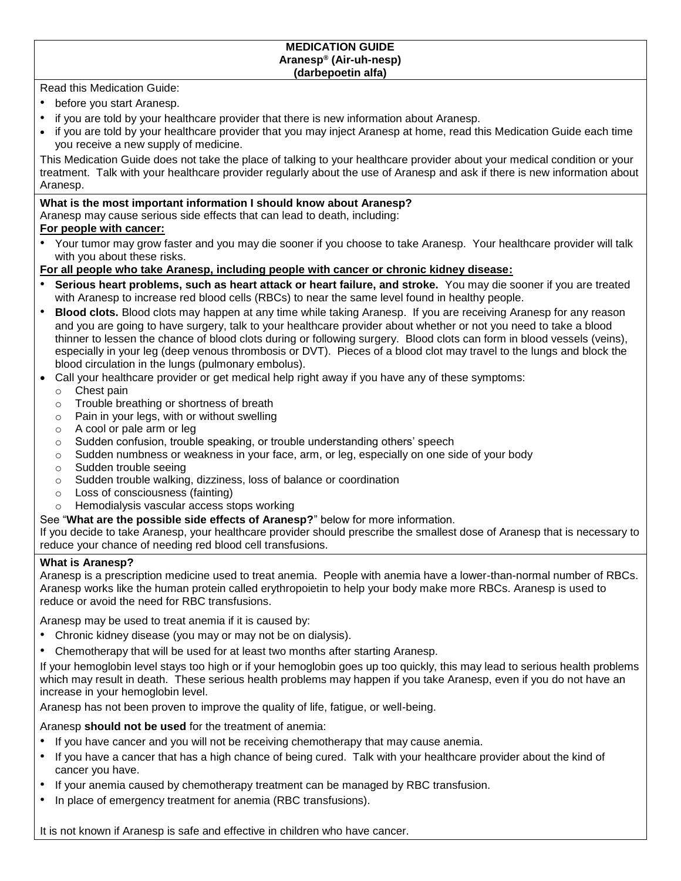Read this Medication Guide:

- before you start Aranesp.
- if you are told by your healthcare provider that there is new information about Aranesp.
- if you are told by your healthcare provider that you may inject Aranesp at home, read this Medication Guide each time you receive a new supply of medicine.

This Medication Guide does not take the place of talking to your healthcare provider about your medical condition or your treatment. Talk with your healthcare provider regularly about the use of Aranesp and ask if there is new information about Aranesp.

# **What is the most important information I should know about Aranesp?**

Aranesp may cause serious side effects that can lead to death, including:

### **For people with cancer:**

• Your tumor may grow faster and you may die sooner if you choose to take Aranesp. Your healthcare provider will talk with you about these risks.

### **For all people who take Aranesp, including people with cancer or chronic kidney disease:**

- **Serious heart problems, such as heart attack or heart failure, and stroke.** You may die sooner if you are treated with Aranesp to increase red blood cells (RBCs) to near the same level found in healthy people.
- **Blood clots.** Blood clots may happen at any time while taking Aranesp. If you are receiving Aranesp for any reason and you are going to have surgery, talk to your healthcare provider about whether or not you need to take a blood thinner to lessen the chance of blood clots during or following surgery. Blood clots can form in blood vessels (veins), especially in your leg (deep venous thrombosis or DVT). Pieces of a blood clot may travel to the lungs and block the blood circulation in the lungs (pulmonary embolus).
- Call your healthcare provider or get medical help right away if you have any of these symptoms:
	- o Chest pain
	- o Trouble breathing or shortness of breath
	- o Pain in your legs, with or without swelling
	- o A cool or pale arm or leg
	- $\circ$  Sudden confusion, trouble speaking, or trouble understanding others' speech
	- $\circ$  Sudden numbness or weakness in your face, arm, or leg, especially on one side of your body
	- o Sudden trouble seeing
	- o Sudden trouble walking, dizziness, loss of balance or coordination
	- o Loss of consciousness (fainting)
	- o Hemodialysis vascular access stops working
- See "**What are the possible side effects of Aranesp?**" below for more information.

If you decide to take Aranesp, your healthcare provider should prescribe the smallest dose of Aranesp that is necessary to reduce your chance of needing red blood cell transfusions.

### **What is Aranesp?**

Aranesp is a prescription medicine used to treat anemia. People with anemia have a lower-than-normal number of RBCs. Aranesp works like the human protein called erythropoietin to help your body make more RBCs. Aranesp is used to reduce or avoid the need for RBC transfusions.

Aranesp may be used to treat anemia if it is caused by:

- Chronic kidney disease (you may or may not be on dialysis).
- Chemotherapy that will be used for at least two months after starting Aranesp.

If your hemoglobin level stays too high or if your hemoglobin goes up too quickly, this may lead to serious health problems which may result in death. These serious health problems may happen if you take Aranesp, even if you do not have an increase in your hemoglobin level.

Aranesp has not been proven to improve the quality of life, fatigue, or well-being.

Aranesp **should not be used** for the treatment of anemia:

- If you have cancer and you will not be receiving chemotherapy that may cause anemia.
- If you have a cancer that has a high chance of being cured. Talk with your healthcare provider about the kind of cancer you have.
- If your anemia caused by chemotherapy treatment can be managed by RBC transfusion.
- In place of emergency treatment for anemia (RBC transfusions).

It is not known if Aranesp is safe and effective in children who have cancer.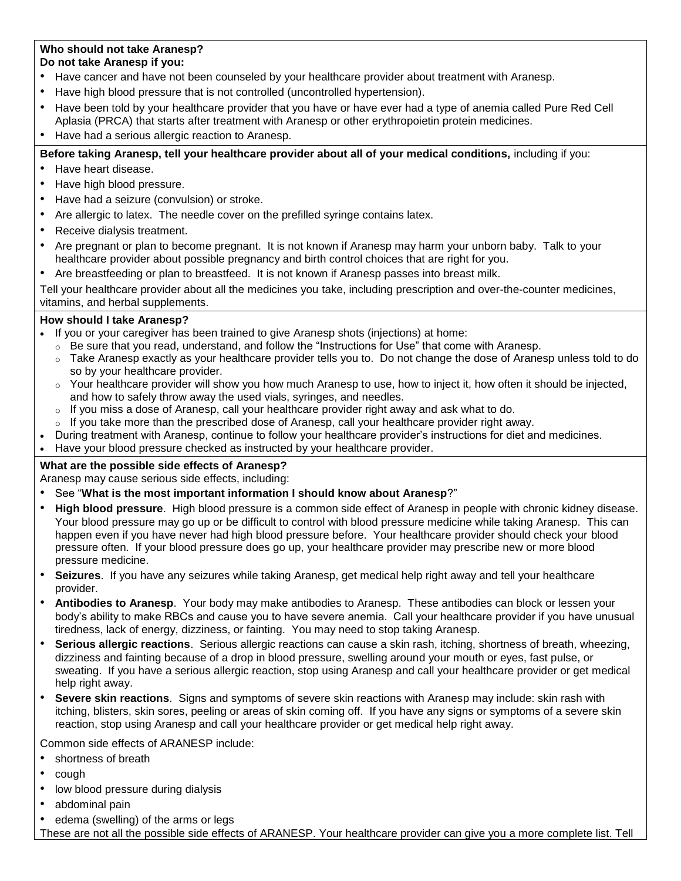### **Who should not take Aranesp? Do not take Aranesp if you:**

- Have cancer and have not been counseled by your healthcare provider about treatment with Aranesp.
- Have high blood pressure that is not controlled (uncontrolled hypertension).
- Have been told by your healthcare provider that you have or have ever had a type of anemia called Pure Red Cell Aplasia (PRCA) that starts after treatment with Aranesp or other erythropoietin protein medicines.
- Have had a serious allergic reaction to Aranesp.

# **Before taking Aranesp, tell your healthcare provider about all of your medical conditions,** including if you:

- Have heart disease.
- Have high blood pressure.
- Have had a seizure (convulsion) or stroke.
- Are allergic to latex. The needle cover on the prefilled syringe contains latex.
- Receive dialysis treatment.
- Are pregnant or plan to become pregnant. It is not known if Aranesp may harm your unborn baby. Talk to your healthcare provider about possible pregnancy and birth control choices that are right for you.
- Are breastfeeding or plan to breastfeed. It is not known if Aranesp passes into breast milk.

Tell your healthcare provider about all the medicines you take, including prescription and over-the-counter medicines, vitamins, and herbal supplements.

# **How should I take Aranesp?**

- If you or your caregiver has been trained to give Aranesp shots (injections) at home:
	- $\circ$  Be sure that you read, understand, and follow the "Instructions for Use" that come with Aranesp.
	- $\circ$  Take Aranesp exactly as your healthcare provider tells you to. Do not change the dose of Aranesp unless told to do so by your healthcare provider.
	- $\circ$  Your healthcare provider will show you how much Aranesp to use, how to inject it, how often it should be injected, and how to safely throw away the used vials, syringes, and needles.
	- $\circ$  If you miss a dose of Aranesp, call your healthcare provider right away and ask what to do.
	- If you take more than the prescribed dose of Aranesp, call your healthcare provider right away.
	- During treatment with Aranesp, continue to follow your healthcare provider's instructions for diet and medicines.
- Have your blood pressure checked as instructed by your healthcare provider.

# **What are the possible side effects of Aranesp?**

Aranesp may cause serious side effects, including:

- See "**What is the most important information I should know about Aranesp**?"
- **High blood pressure**. High blood pressure is a common side effect of Aranesp in people with chronic kidney disease. Your blood pressure may go up or be difficult to control with blood pressure medicine while taking Aranesp. This can happen even if you have never had high blood pressure before. Your healthcare provider should check your blood pressure often. If your blood pressure does go up, your healthcare provider may prescribe new or more blood pressure medicine.
- **Seizures**. If you have any seizures while taking Aranesp, get medical help right away and tell your healthcare provider.
- **Antibodies to Aranesp**. Your body may make antibodies to Aranesp. These antibodies can block or lessen your body's ability to make RBCs and cause you to have severe anemia. Call your healthcare provider if you have unusual tiredness, lack of energy, dizziness, or fainting. You may need to stop taking Aranesp.
- **Serious allergic reactions**. Serious allergic reactions can cause a skin rash, itching, shortness of breath, wheezing, dizziness and fainting because of a drop in blood pressure, swelling around your mouth or eyes, fast pulse, or sweating. If you have a serious allergic reaction, stop using Aranesp and call your healthcare provider or get medical help right away.
- **Severe skin reactions**. Signs and symptoms of severe skin reactions with Aranesp may include: skin rash with itching, blisters, skin sores, peeling or areas of skin coming off. If you have any signs or symptoms of a severe skin reaction, stop using Aranesp and call your healthcare provider or get medical help right away.

Common side effects of ARANESP include:

- shortness of breath
- cough
- low blood pressure during dialysis
- abdominal pain
- edema (swelling) of the arms or legs

These are not all the possible side effects of ARANESP. Your healthcare provider can give you a more complete list. Tell